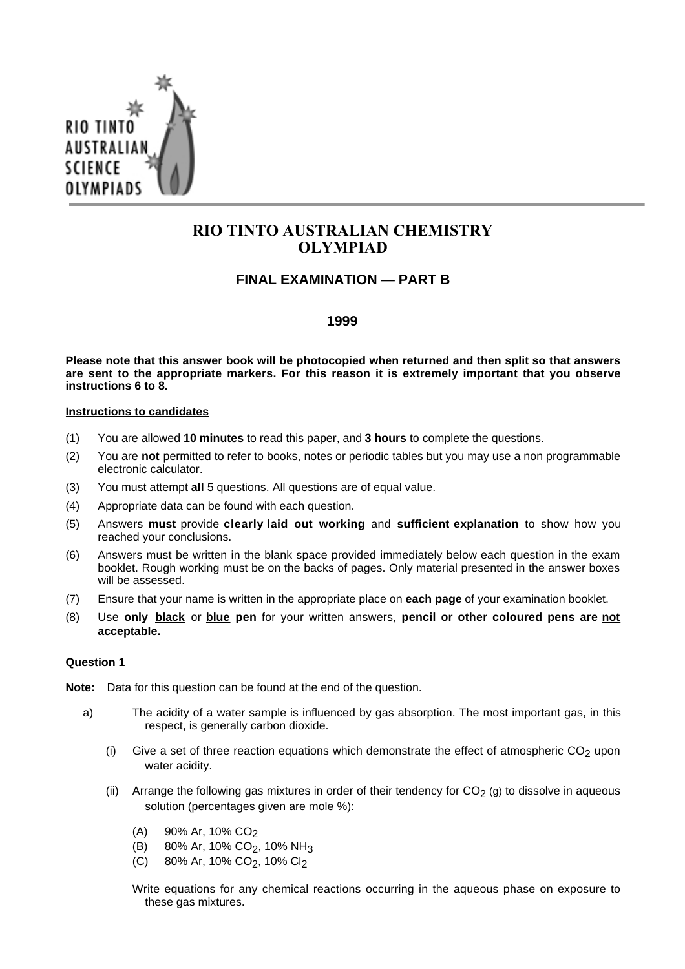

# **RIO TINTO AUSTRALIAN CHEMISTRY OLYMPIAD**

## **FINAL EXAMINATION — PART B**

### **1999**

**Please note that this answer book will be photocopied when returned and then split so that answers are sent to the appropriate markers. For this reason it is extremely important that you observe instructions 6 to 8.**

#### **Instructions to candidates**

- (1) You are allowed **10 minutes** to read this paper, and **3 hours** to complete the questions.
- (2) You are **not** permitted to refer to books, notes or periodic tables but you may use a non programmable electronic calculator.
- (3) You must attempt **all** 5 questions. All questions are of equal value.
- (4) Appropriate data can be found with each question.
- (5) Answers **must** provide **clearly laid out working** and **sufficient explanation** to show how you reached your conclusions.
- (6) Answers must be written in the blank space provided immediately below each question in the exam booklet. Rough working must be on the backs of pages. Only material presented in the answer boxes will be assessed.
- (7) Ensure that your name is written in the appropriate place on **each page** of your examination booklet.
- (8) Use **only black** or **blue pen** for your written answers, **pencil or other coloured pens are not acceptable.**

#### **Question 1**

- **Note:** Data for this question can be found at the end of the question.
	- a) The acidity of a water sample is influenced by gas absorption. The most important gas, in this respect, is generally carbon dioxide.
		- (i) Give a set of three reaction equations which demonstrate the effect of atmospheric  $CO<sub>2</sub>$  upon water acidity.
		- (ii) Arrange the following gas mixtures in order of their tendency for  $CO<sub>2</sub>$  (g) to dissolve in aqueous solution (percentages given are mole %):
			- $(A)$  90% Ar, 10% CO<sub>2</sub>
			- (B) 80% Ar, 10% CO<sub>2</sub>, 10% NH<sub>3</sub>
			- (C) 80% Ar, 10% CO<sub>2</sub>, 10% Cl<sub>2</sub>
			- Write equations for any chemical reactions occurring in the aqueous phase on exposure to these gas mixtures.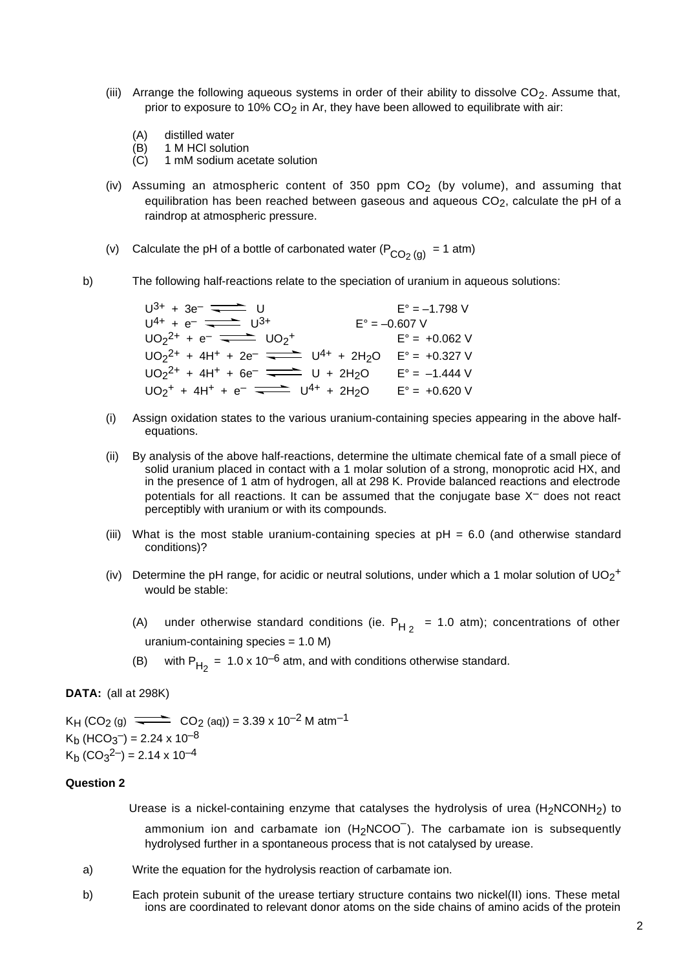- (iii) Arrange the following aqueous systems in order of their ability to dissolve  $CO<sub>2</sub>$ . Assume that, prior to exposure to 10%  $CO<sub>2</sub>$  in Ar, they have been allowed to equilibrate with air:
	- (A) distilled water
	- (B) 1 M HCl solution
	- (C) 1 mM sodium acetate solution
- (iv) Assuming an atmospheric content of 350 ppm  $CO<sub>2</sub>$  (by volume), and assuming that equilibration has been reached between gaseous and aqueous  $CO<sub>2</sub>$ , calculate the pH of a raindrop at atmospheric pressure.
- (v) Calculate the pH of a bottle of carbonated water  $(P_{CO<sub>2</sub> (g)} = 1$  atm)
- b) The following half-reactions relate to the speciation of uranium in aqueous solutions:

 $U^{3+} + 3e^- = 1.798$  V  $U^{4+} + e^{-}$   $\overline{\phantom{0}}$   $U^{3+}$  E° = -0.607 V  $UO_2^{2+} + e^ \overline{\phantom{0}}$   $UO_2^{+}$   $E^{\circ} = +0.062$  V  $U_2$ <sup>2+</sup> + 4H<sup>+</sup> + 2e<sup>-</sup>  $\frac{U_2}{1}$  U<sup>4+</sup> + 2H<sub>2</sub>O E° = +0.327 V  $UO_2^{2+} + 4H^+ + 6e^ \overline{\phantom{1}}$  U + 2H<sub>2</sub>O  $E^\circ = -1.444$  V  $UO_2^+ + 4H^+ + e^- \longrightarrow U^{4+} + 2H_2O$   $E^{\circ} = +0.620 V$ 

- (i) Assign oxidation states to the various uranium-containing species appearing in the above halfequations.
- (ii) By analysis of the above half-reactions, determine the ultimate chemical fate of a small piece of solid uranium placed in contact with a 1 molar solution of a strong, monoprotic acid HX, and in the presence of 1 atm of hydrogen, all at 298 K. Provide balanced reactions and electrode potentials for all reactions. It can be assumed that the conjugate base  $X^-$  does not react perceptibly with uranium or with its compounds.
- (iii) What is the most stable uranium-containing species at  $pH = 6.0$  (and otherwise standard conditions)?
- (iv) Determine the pH range, for acidic or neutral solutions, under which a 1 molar solution of  $UO_2$ <sup>+</sup> would be stable:
	- (A) under otherwise standard conditions (ie.  $P_{H_2}$  = 1.0 atm); concentrations of other uranium-containing species = 1.0 M)
	- (B) with  $P_{H_2} = 1.0 \times 10^{-6}$  atm, and with conditions otherwise standard.

#### **DATA:** (all at 298K)

 $K_{H}$  (CO<sub>2</sub> (g)  $\implies$  CO<sub>2</sub> (aq)) = 3.39 x 10<sup>-2</sup> M atm<sup>-1</sup>  $K_b$  (HCO<sub>3</sub><sup>-</sup>) = 2.24 x 10<sup>-8</sup>  $K_b$  (CO<sub>3</sub><sup>2–</sup>) = 2.14 x 10<sup>-4</sup>

#### **Question 2**

Urease is a nickel-containing enzyme that catalyses the hydrolysis of urea  $(H<sub>2</sub>NCONH<sub>2</sub>)$  to ammonium ion and carbamate ion  $(\mathsf{H_2NCOO}^-)$ . The carbamate ion is subsequently hydrolysed further in a spontaneous process that is not catalysed by urease.

- a) Write the equation for the hydrolysis reaction of carbamate ion.
- b) Each protein subunit of the urease tertiary structure contains two nickel(II) ions. These metal ions are coordinated to relevant donor atoms on the side chains of amino acids of the protein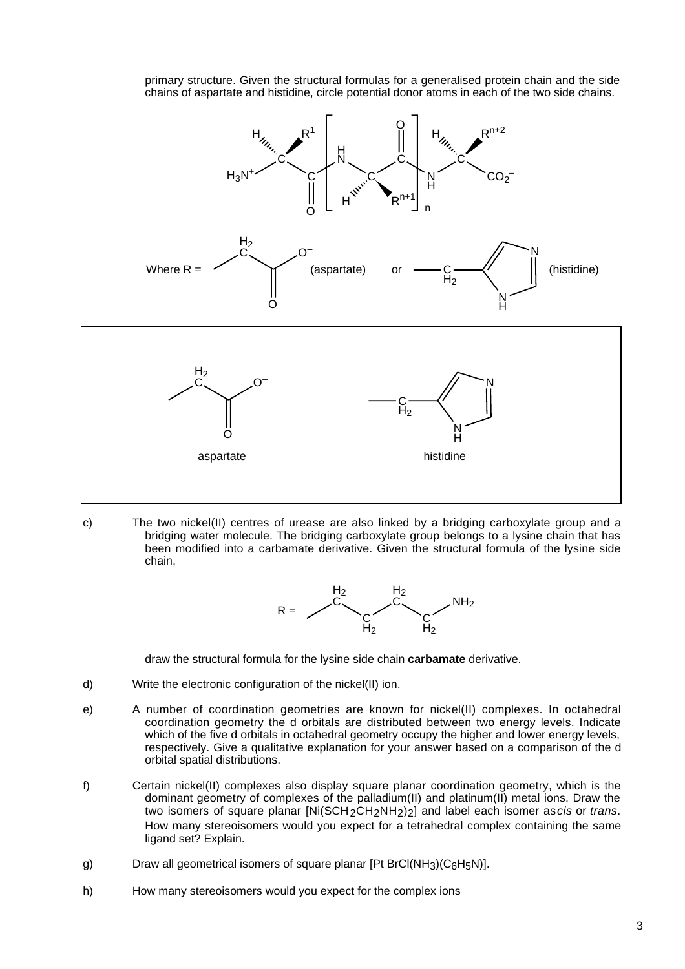primary structure. Given the structural formulas for a generalised protein chain and the side chains of aspartate and histidine, circle potential donor atoms in each of the two side chains.



c) The two nickel(II) centres of urease are also linked by a bridging carboxylate group and a bridging water molecule. The bridging carboxylate group belongs to a lysine chain that has been modified into a carbamate derivative. Given the structural formula of the lysine side chain,



draw the structural formula for the lysine side chain **carbamate** derivative.

- d) Write the electronic configuration of the nickel(II) ion.
- e) A number of coordination geometries are known for nickel(II) complexes. In octahedral coordination geometry the d orbitals are distributed between two energy levels. Indicate which of the five d orbitals in octahedral geometry occupy the higher and lower energy levels, respectively. Give a qualitative explanation for your answer based on a comparison of the d orbital spatial distributions.
- f) Certain nickel(II) complexes also display square planar coordination geometry, which is the dominant geometry of complexes of the palladium(II) and platinum(II) metal ions. Draw the two isomers of square planar  $[Ni(SCH_2CH_2NH_2)_2]$  and label each isomer as *cis* or *trans.* How many stereoisomers would you expect for a tetrahedral complex containing the same ligand set? Explain.
- g) Draw all geometrical isomers of square planar  $[Pt BrCl(NH<sub>3</sub>)(C<sub>6</sub>H<sub>5</sub>N)].$
- h) How many stereoisomers would you expect for the complex ions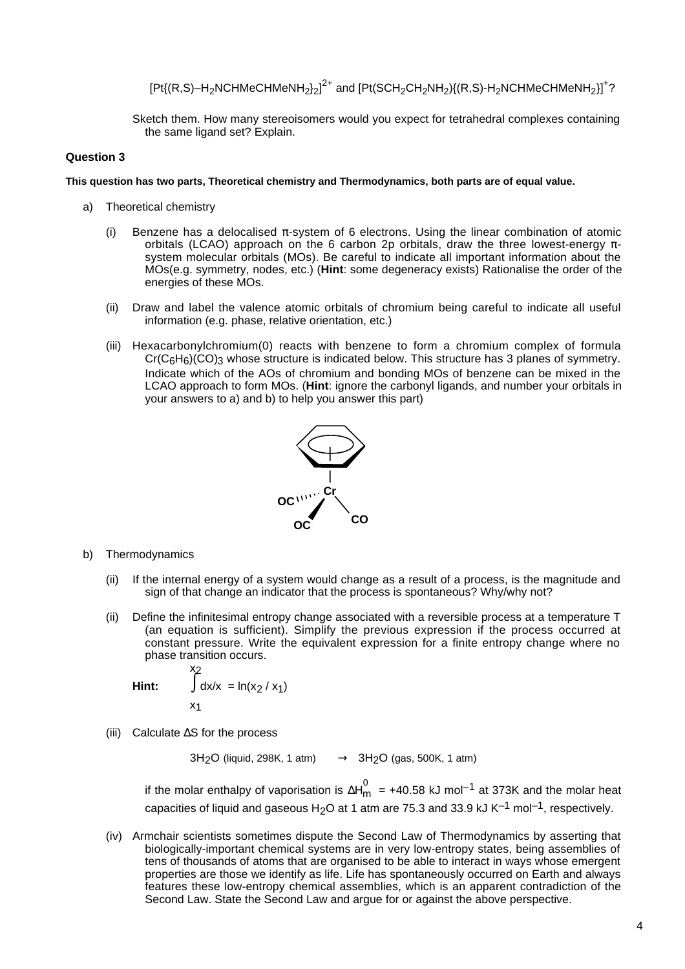[Pt{(R,S)–H<sub>2</sub>NCHMeCHMeNH<sub>2</sub>}<sub>2</sub>]<sup>2+</sup> and [Pt(SCH<sub>2</sub>CH<sub>2</sub>NH<sub>2</sub>){(R,S)-H<sub>2</sub>NCHMeCHMeNH<sub>2</sub>}]<sup>+</sup>?

Sketch them. How many stereoisomers would you expect for tetrahedral complexes containing the same ligand set? Explain.

#### **Question 3**

#### **This question has two parts, Theoretical chemistry and Thermodynamics, both parts are of equal value.**

- a) Theoretical chemistry
	- (i) Benzene has a delocalised  $\pi$ -system of 6 electrons. Using the linear combination of atomic orbitals (LCAO) approach on the 6 carbon 2p orbitals, draw the three lowest-energy  $π$ system molecular orbitals (MOs). Be careful to indicate all important information about the MOs(e.g. symmetry, nodes, etc.) (**Hint**: some degeneracy exists) Rationalise the order of the energies of these MOs.
	- (ii) Draw and label the valence atomic orbitals of chromium being careful to indicate all useful information (e.g. phase, relative orientation, etc.)
	- (iii) Hexacarbonylchromium(0) reacts with benzene to form a chromium complex of formula  $Cr(C<sub>6</sub>H<sub>6</sub>)(CO)<sub>3</sub>$  whose structure is indicated below. This structure has 3 planes of symmetry. Indicate which of the AOs of chromium and bonding MOs of benzene can be mixed in the LCAO approach to form MOs. (**Hint**: ignore the carbonyl ligands, and number your orbitals in your answers to a) and b) to help you answer this part)



- b) Thermodynamics
	- (ii) If the internal energy of a system would change as a result of a process, is the magnitude and sign of that change an indicator that the process is spontaneous? Why/why not?
	- (ii) Define the infinitesimal entropy change associated with a reversible process at a temperature T (an equation is sufficient). Simplify the previous expression if the process occurred at constant pressure. Write the equivalent expression for a finite entropy change where no phase transition occurs.

**Hint:** 
$$
\int_{x_1}^{x_2} dx/x = \ln(x_2 / x_1)
$$

(iii) Calculate ∆S for the process

 $3H<sub>2</sub>O$  (liquid, 298K, 1 atm)  $\longrightarrow$   $3H<sub>2</sub>O$  (gas, 500K, 1 atm)

if the molar enthalpy of vaporisation is ∆H $_{\sf m}^0$  = +40.58 kJ mol<sup>–1</sup> at 373K and the molar heat capacities of liquid and gaseous H<sub>2</sub>O at 1 atm are 75.3 and 33.9 kJ K<sup>-1</sup> mol<sup>-1</sup>, respectively.

(iv) Armchair scientists sometimes dispute the Second Law of Thermodynamics by asserting that biologically-important chemical systems are in very low-entropy states, being assemblies of tens of thousands of atoms that are organised to be able to interact in ways whose emergent properties are those we identify as life. Life has spontaneously occurred on Earth and always features these low-entropy chemical assemblies, which is an apparent contradiction of the Second Law. State the Second Law and argue for or against the above perspective.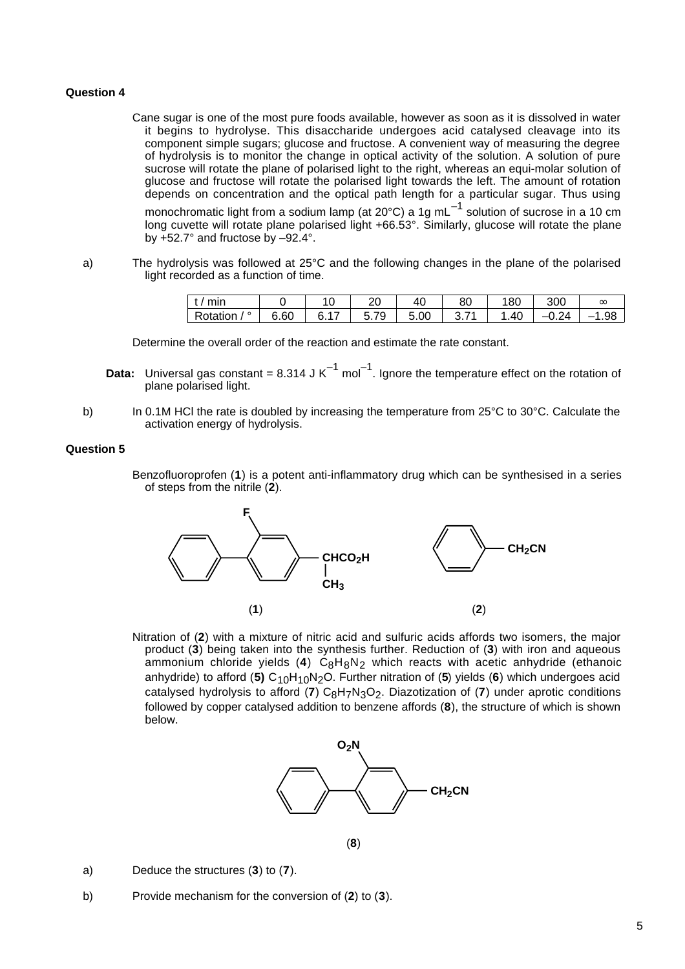#### **Question 4**

Cane sugar is one of the most pure foods available, however as soon as it is dissolved in water it begins to hydrolyse. This disaccharide undergoes acid catalysed cleavage into its component simple sugars; glucose and fructose. A convenient way of measuring the degree of hydrolysis is to monitor the change in optical activity of the solution. A solution of pure sucrose will rotate the plane of polarised light to the right, whereas an equi-molar solution of glucose and fructose will rotate the polarised light towards the left. The amount of rotation depends on concentration and the optical path length for a particular sugar. Thus using

monochromatic light from a sodium lamp (at 20°C) a 1g mL $^{-1}$  solution of sucrose in a 10 cm long cuvette will rotate plane polarised light +66.53°. Similarly, glucose will rotate the plane by +52.7° and fructose by –92.4°.

a) The hydrolysis was followed at 25°C and the following changes in the plane of the polarised light recorded as a function of time.

| <b>CONTRACTOR</b><br>,,,,,, |             | . v | ົ<br>∠∪ | 40   | $\circ$<br>ou | 80         | 300                  | $\infty$ |
|-----------------------------|-------------|-----|---------|------|---------------|------------|----------------------|----------|
| $\circ$<br>•`otation        | 66C<br>v.vv |     | 70<br>∽ | 5.00 |               | ΔC<br>. ד⊍ | 24<br>, <del>.</del> | . .98    |

Determine the overall order of the reaction and estimate the rate constant.

- **Data:** Universal gas constant =  $8.314$  J K<sup>-1</sup> mol<sup>-1</sup>. Ignore the temperature effect on the rotation of plane polarised light.
- b) In 0.1M HCl the rate is doubled by increasing the temperature from 25°C to 30°C. Calculate the activation energy of hydrolysis.

#### **Question 5**

Benzofluoroprofen (**1**) is a potent anti-inflammatory drug which can be synthesised in a series of steps from the nitrile (**2**).



Nitration of (**2**) with a mixture of nitric acid and sulfuric acids affords two isomers, the major product (**3**) being taken into the synthesis further. Reduction of (**3**) with iron and aqueous ammonium chloride yields (4) C<sub>8</sub>H<sub>8</sub>N<sub>2</sub> which reacts with acetic anhydride (ethanoic anhydride) to afford (**5)** C10H10N2O. Further nitration of (**5**) yields (**6**) which undergoes acid catalysed hydrolysis to afford (7) C<sub>8</sub>H<sub>7</sub>N<sub>3</sub>O<sub>2</sub>. Diazotization of (7) under aprotic conditions followed by copper catalysed addition to benzene affords (**8**), the structure of which is shown below.



- a) Deduce the structures (**3**) to (**7**).
- b) Provide mechanism for the conversion of (**2**) to (**3**).